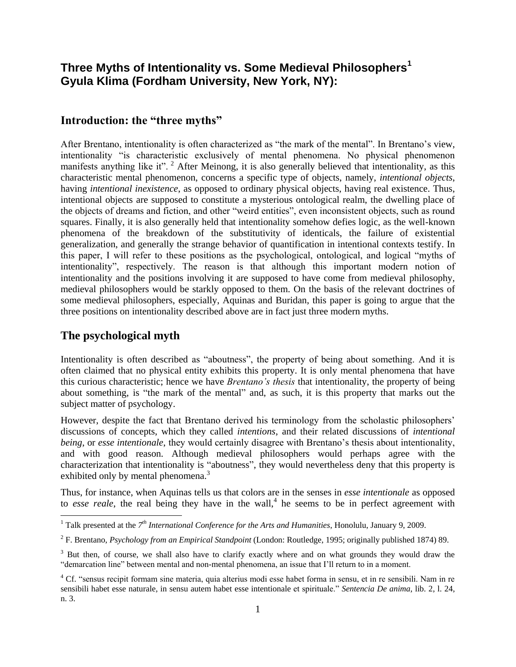# **Three Myths of Intentionality vs. Some Medieval Philosophers<sup>1</sup> Gyula Klima (Fordham University, New York, NY):**

#### **Introduction: the "three myths"**

After Brentano, intentionality is often characterized as "the mark of the mental". In Brentano's view, intentionality "is characteristic exclusively of mental phenomena. No physical phenomenon manifests anything like it". <sup>2</sup> After Meinong, it is also generally believed that intentionality, as this characteristic mental phenomenon, concerns a specific type of objects, namely, *intentional objects*, having *intentional inexistence*, as opposed to ordinary physical objects, having real existence. Thus, intentional objects are supposed to constitute a mysterious ontological realm, the dwelling place of the objects of dreams and fiction, and other "weird entities", even inconsistent objects, such as round squares. Finally, it is also generally held that intentionality somehow defies logic, as the well-known phenomena of the breakdown of the substitutivity of identicals, the failure of existential generalization, and generally the strange behavior of quantification in intentional contexts testify. In this paper, I will refer to these positions as the psychological, ontological, and logical "myths of intentionality", respectively. The reason is that although this important modern notion of intentionality and the positions involving it are supposed to have come from medieval philosophy, medieval philosophers would be starkly opposed to them. On the basis of the relevant doctrines of some medieval philosophers, especially, Aquinas and Buridan, this paper is going to argue that the three positions on intentionality described above are in fact just three modern myths.

# **The psychological myth**

 $\overline{a}$ 

Intentionality is often described as "aboutness", the property of being about something. And it is often claimed that no physical entity exhibits this property. It is only mental phenomena that have this curious characteristic; hence we have *Brentano's thesis* that intentionality, the property of being about something, is "the mark of the mental" and, as such, it is this property that marks out the subject matter of psychology.

However, despite the fact that Brentano derived his terminology from the scholastic philosophers' discussions of concepts, which they called *intentions*, and their related discussions of *intentional being*, or *esse intentionale*, they would certainly disagree with Brentano's thesis about intentionality, and with good reason. Although medieval philosophers would perhaps agree with the characterization that intentionality is "aboutness", they would nevertheless deny that this property is exhibited only by mental phenomena.<sup>3</sup>

Thus, for instance, when Aquinas tells us that colors are in the senses in *esse intentionale* as opposed to *esse reale*, the real being they have in the wall,<sup>4</sup> he seems to be in perfect agreement with

<sup>&</sup>lt;sup>1</sup> Talk presented at the  $7<sup>th</sup> International Conference for the Arts and Humanities, Honolulu, January 9, 2009.$ 

<sup>2</sup> F. Brentano, *Psychology from an Empirical Standpoint* (London: Routledge, 1995; originally published 1874) 89.

<sup>&</sup>lt;sup>3</sup> But then, of course, we shall also have to clarify exactly where and on what grounds they would draw the "demarcation line" between mental and non-mental phenomena, an issue that I"ll return to in a moment.

<sup>&</sup>lt;sup>4</sup> Cf. "sensus recipit formam sine materia, quia alterius modi esse habet forma in sensu, et in re sensibili. Nam in re sensibili habet esse naturale, in sensu autem habet esse intentionale et spirituale." *Sentencia De anima*, lib. 2, l. 24, n. 3.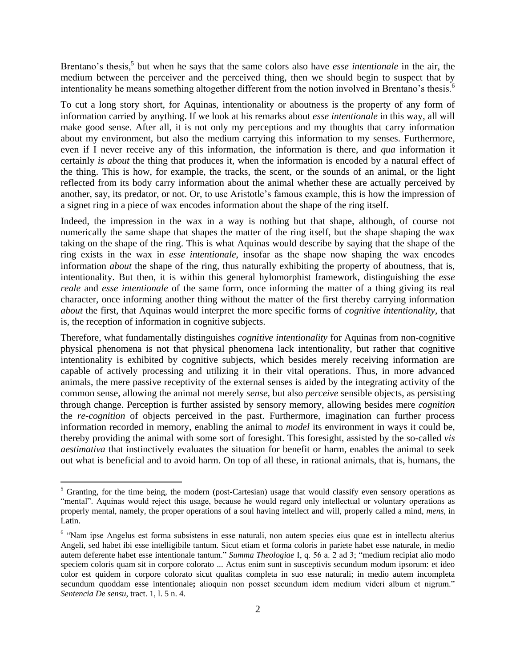Brentano's thesis,<sup>5</sup> but when he says that the same colors also have *esse intentionale* in the air, the medium between the perceiver and the perceived thing, then we should begin to suspect that by intentionality he means something altogether different from the notion involved in Brentano's thesis.<sup>6</sup>

To cut a long story short, for Aquinas, intentionality or aboutness is the property of any form of information carried by anything. If we look at his remarks about *esse intentionale* in this way, all will make good sense. After all, it is not only my perceptions and my thoughts that carry information about my environment, but also the medium carrying this information to my senses. Furthermore, even if I never receive any of this information, the information is there, and *qua* information it certainly *is about* the thing that produces it, when the information is encoded by a natural effect of the thing. This is how, for example, the tracks, the scent, or the sounds of an animal, or the light reflected from its body carry information about the animal whether these are actually perceived by another, say, its predator, or not. Or, to use Aristotle"s famous example, this is how the impression of a signet ring in a piece of wax encodes information about the shape of the ring itself.

Indeed, the impression in the wax in a way is nothing but that shape, although, of course not numerically the same shape that shapes the matter of the ring itself, but the shape shaping the wax taking on the shape of the ring. This is what Aquinas would describe by saying that the shape of the ring exists in the wax in *esse intentionale*, insofar as the shape now shaping the wax encodes information *about* the shape of the ring, thus naturally exhibiting the property of aboutness, that is, intentionality. But then, it is within this general hylomorphist framework, distinguishing the *esse reale* and *esse intentionale* of the same form, once informing the matter of a thing giving its real character, once informing another thing without the matter of the first thereby carrying information *about* the first, that Aquinas would interpret the more specific forms of *cognitive intentionality*, that is, the reception of information in cognitive subjects.

Therefore, what fundamentally distinguishes *cognitive intentionality* for Aquinas from non-cognitive physical phenomena is not that physical phenomena lack intentionality, but rather that cognitive intentionality is exhibited by cognitive subjects, which besides merely receiving information are capable of actively processing and utilizing it in their vital operations. Thus, in more advanced animals, the mere passive receptivity of the external senses is aided by the integrating activity of the common sense, allowing the animal not merely *sense*, but also *perceive* sensible objects, as persisting through change. Perception is further assisted by sensory memory, allowing besides mere *cognition* the *re-cognition* of objects perceived in the past. Furthermore, imagination can further process information recorded in memory, enabling the animal to *model* its environment in ways it could be, thereby providing the animal with some sort of foresight. This foresight, assisted by the so-called *vis aestimativa* that instinctively evaluates the situation for benefit or harm, enables the animal to seek out what is beneficial and to avoid harm. On top of all these, in rational animals, that is, humans, the

 $\overline{a}$ 

<sup>&</sup>lt;sup>5</sup> Granting, for the time being, the modern (post-Cartesian) usage that would classify even sensory operations as "mental". Aquinas would reject this usage, because he would regard only intellectual or voluntary operations as properly mental, namely, the proper operations of a soul having intellect and will, properly called a mind, *mens*, in Latin.

<sup>&</sup>lt;sup>6</sup> "Nam ipse Angelus est forma subsistens in esse naturali, non autem species eius quae est in intellectu alterius Angeli, sed habet ibi esse intelligibile tantum. Sicut etiam et forma coloris in pariete habet esse naturale, in medio autem deferente habet esse intentionale tantum." *Summa Theologiae* I, q. 56 a. 2 ad 3; "medium recipiat alio modo speciem coloris quam sit in corpore colorato ... Actus enim sunt in susceptivis secundum modum ipsorum: et ideo color est quidem in corpore colorato sicut qualitas completa in suo esse naturali; in medio autem incompleta secundum quoddam esse intentionale**;** alioquin non posset secundum idem medium videri album et nigrum." *Sentencia De sensu*, tract. 1, l. 5 n. 4.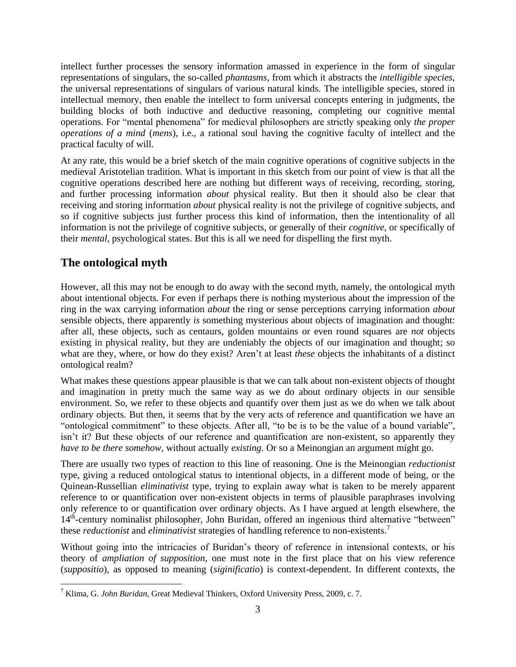intellect further processes the sensory information amassed in experience in the form of singular representations of singulars, the so-called *phantasms*, from which it abstracts the *intelligible species*, the universal representations of singulars of various natural kinds. The intelligible species, stored in intellectual memory, then enable the intellect to form universal concepts entering in judgments, the building blocks of both inductive and deductive reasoning, completing our cognitive mental operations. For "mental phenomena" for medieval philosophers are strictly speaking only *the proper operations of a mind* (*mens*), i.e., a rational soul having the cognitive faculty of intellect and the practical faculty of will.

At any rate, this would be a brief sketch of the main cognitive operations of cognitive subjects in the medieval Aristotelian tradition. What is important in this sketch from our point of view is that all the cognitive operations described here are nothing but different ways of receiving, recording, storing, and further processing information *about* physical reality. But then it should also be clear that receiving and storing information *about* physical reality is not the privilege of cognitive subjects, and so if cognitive subjects just further process this kind of information, then the intentionality of all information is not the privilege of cognitive subjects, or generally of their *cognitive*, or specifically of their *mental*, psychological states. But this is all we need for dispelling the first myth.

### **The ontological myth**

 $\overline{a}$ 

However, all this may not be enough to do away with the second myth, namely, the ontological myth about intentional objects. For even if perhaps there is nothing mysterious about the impression of the ring in the wax carrying information *about* the ring or sense perceptions carrying information *about* sensible objects, there apparently *is* something mysterious about objects of imagination and thought: after all, these objects, such as centaurs, golden mountains or even round squares are *not* objects existing in physical reality, but they are undeniably the objects of our imagination and thought; so what are they, where, or how do they exist? Aren"t at least *these* objects the inhabitants of a distinct ontological realm?

What makes these questions appear plausible is that we can talk about non-existent objects of thought and imagination in pretty much the same way as we do about ordinary objects in our sensible environment. So, we refer to these objects and quantify over them just as we do when we talk about ordinary objects. But then, it seems that by the very acts of reference and quantification we have an "ontological commitment" to these objects. After all, "to be is to be the value of a bound variable", isn"t it? But these objects of our reference and quantification are non-existent, so apparently they *have to be there somehow*, without actually *existing*. Or so a Meinongian an argument might go.

There are usually two types of reaction to this line of reasoning. One is the Meinongian *reductionist* type, giving a reduced ontological status to intentional objects, in a different mode of being, or the Quinean-Russellian *eliminativist* type, trying to explain away what is taken to be merely apparent reference to or quantification over non-existent objects in terms of plausible paraphrases involving only reference to or quantification over ordinary objects. As I have argued at length elsewhere, the 14<sup>th</sup>-century nominalist philosopher, John Buridan, offered an ingenious third alternative "between" these *reductionist* and *eliminativist* strategies of handling reference to non-existents.<sup>7</sup>

Without going into the intricacies of Buridan"s theory of reference in intensional contexts, or his theory of *ampliation of supposition*, one must note in the first place that on his view reference (*suppositio*), as opposed to meaning (*siginificatio*) is context-dependent. In different contexts, the

<sup>7</sup> Klima, G. *John Buridan*, Great Medieval Thinkers, Oxford University Press, 2009, c. 7.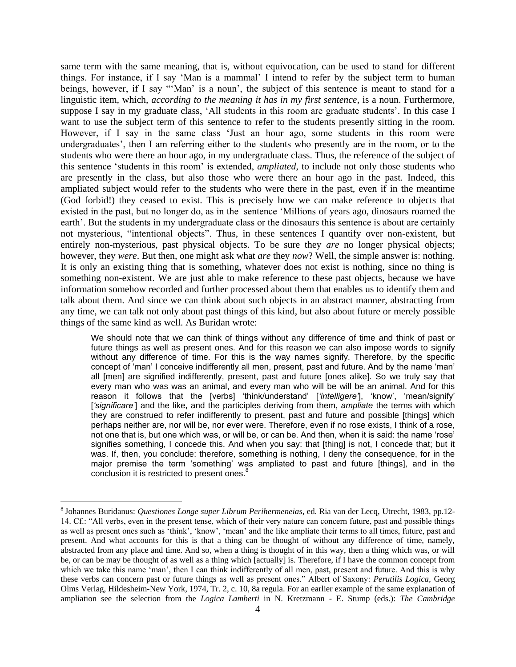same term with the same meaning, that is, without equivocation, can be used to stand for different things. For instance, if I say "Man is a mammal" I intend to refer by the subject term to human beings, however, if I say "'Man' is a noun', the subject of this sentence is meant to stand for a linguistic item, which, *according to the meaning it has in my first sentence*, is a noun. Furthermore, suppose I say in my graduate class, 'All students in this room are graduate students'. In this case I want to use the subject term of this sentence to refer to the students presently sitting in the room. However, if I say in the same class "Just an hour ago, some students in this room were undergraduates", then I am referring either to the students who presently are in the room, or to the students who were there an hour ago, in my undergraduate class. Thus, the reference of the subject of this sentence "students in this room" is extended, *ampliated*, to include not only those students who are presently in the class, but also those who were there an hour ago in the past. Indeed, this ampliated subject would refer to the students who were there in the past, even if in the meantime (God forbid!) they ceased to exist. This is precisely how we can make reference to objects that existed in the past, but no longer do, as in the sentence "Millions of years ago, dinosaurs roamed the earth'. But the students in my undergraduate class or the dinosaurs this sentence is about are certainly not mysterious, "intentional objects". Thus, in these sentences I quantify over non-existent, but entirely non-mysterious, past physical objects. To be sure they *are* no longer physical objects; however, they *were*. But then, one might ask what *are* they *now*? Well, the simple answer is: nothing. It is only an existing thing that is something, whatever does not exist is nothing, since no thing is something non-existent. We are just able to make reference to these past objects, because we have information somehow recorded and further processed about them that enables us to identify them and talk about them. And since we can think about such objects in an abstract manner, abstracting from any time, we can talk not only about past things of this kind, but also about future or merely possible things of the same kind as well. As Buridan wrote:

We should note that we can think of things without any difference of time and think of past or future things as well as present ones. And for this reason we can also impose words to signify without any difference of time. For this is the way names signify. Therefore, by the specific concept of 'man' I conceive indifferently all men, present, past and future. And by the name 'man' all [men] are signified indifferently, present, past and future [ones alike]. So we truly say that every man who was was an animal, and every man who will be will be an animal. And for this reason it follows that the [verbs] 'think/understand' [*'intelligere'*], 'know', 'mean/signify' [*'significare'*] and the like, and the participles deriving from them, *ampliate* the terms with which they are construed to refer indifferently to present, past and future and possible [things] which perhaps neither are, nor will be, nor ever were. Therefore, even if no rose exists, I think of a rose, not one that is, but one which was, or will be, or can be. And then, when it is said: the name 'rose' signifies something, I concede this. And when you say: that [thing] is not, I concede that; but it was. If, then, you conclude: therefore, something is nothing, I deny the consequence, for in the major premise the term 'something' was ampliated to past and future [things], and in the conclusion it is restricted to present ones.<sup>8</sup>

 $\overline{a}$ 

<sup>8</sup> Johannes Buridanus: *Questiones Longe super Librum Perihermeneias*, ed. Ria van der Lecq, Utrecht, 1983, pp.12- 14. Cf.: "All verbs, even in the present tense, which of their very nature can concern future, past and possible things as well as present ones such as "think", "know", "mean" and the like ampliate their terms to all times, future, past and present. And what accounts for this is that a thing can be thought of without any difference of time, namely, abstracted from any place and time. And so, when a thing is thought of in this way, then a thing which was, or will be, or can be may be thought of as well as a thing which [actually] is. Therefore, if I have the common concept from which we take this name 'man', then I can think indifferently of all men, past, present and future. And this is why these verbs can concern past or future things as well as present ones." Albert of Saxony: *Perutilis Logica,* Georg Olms Verlag, Hildesheim-New York, 1974, Tr. 2, c. 10, 8a regula. For an earlier example of the same explanation of ampliation see the selection from the *Logica Lamberti* in N. Kretzmann - E. Stump (eds.): *The Cambridge*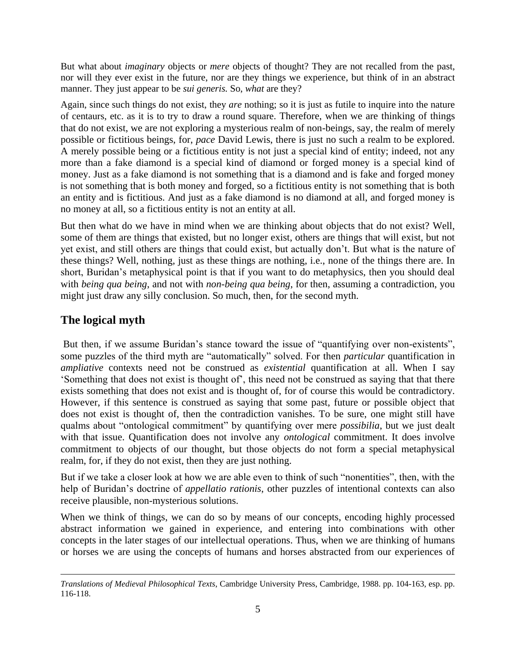But what about *imaginary* objects or *mere* objects of thought? They are not recalled from the past, nor will they ever exist in the future, nor are they things we experience, but think of in an abstract manner. They just appear to be *sui generis.* So, *what* are they?

Again, since such things do not exist, they *are* nothing; so it is just as futile to inquire into the nature of centaurs, etc. as it is to try to draw a round square. Therefore, when we are thinking of things that do not exist, we are not exploring a mysterious realm of non-beings, say, the realm of merely possible or fictitious beings, for, *pace* David Lewis, there is just no such a realm to be explored. A merely possible being or a fictitious entity is not just a special kind of entity; indeed, not any more than a fake diamond is a special kind of diamond or forged money is a special kind of money. Just as a fake diamond is not something that is a diamond and is fake and forged money is not something that is both money and forged, so a fictitious entity is not something that is both an entity and is fictitious. And just as a fake diamond is no diamond at all, and forged money is no money at all, so a fictitious entity is not an entity at all.

But then what do we have in mind when we are thinking about objects that do not exist? Well, some of them are things that existed, but no longer exist, others are things that will exist, but not yet exist, and still others are things that could exist, but actually don"t. But what is the nature of these things? Well, nothing, just as these things are nothing, i.e., none of the things there are. In short, Buridan"s metaphysical point is that if you want to do metaphysics, then you should deal with *being qua being*, and not with *non-being qua being*, for then, assuming a contradiction, you might just draw any silly conclusion. So much, then, for the second myth.

## **The logical myth**

 $\overline{a}$ 

But then, if we assume Buridan's stance toward the issue of "quantifying over non-existents", some puzzles of the third myth are "automatically" solved. For then *particular* quantification in *ampliative* contexts need not be construed as *existential* quantification at all. When I say "Something that does not exist is thought of", this need not be construed as saying that that there exists something that does not exist and is thought of, for of course this would be contradictory. However, if this sentence is construed as saying that some past, future or possible object that does not exist is thought of, then the contradiction vanishes. To be sure, one might still have qualms about "ontological commitment" by quantifying over mere *possibilia*, but we just dealt with that issue. Quantification does not involve any *ontological* commitment. It does involve commitment to objects of our thought, but those objects do not form a special metaphysical realm, for, if they do not exist, then they are just nothing.

But if we take a closer look at how we are able even to think of such "nonentities", then, with the help of Buridan"s doctrine of *appellatio rationis*, other puzzles of intentional contexts can also receive plausible, non-mysterious solutions.

When we think of things, we can do so by means of our concepts, encoding highly processed abstract information we gained in experience, and entering into combinations with other concepts in the later stages of our intellectual operations. Thus, when we are thinking of humans or horses we are using the concepts of humans and horses abstracted from our experiences of

*Translations of Medieval Philosophical Texts*, Cambridge University Press, Cambridge, 1988. pp. 104-163, esp. pp. 116-118.